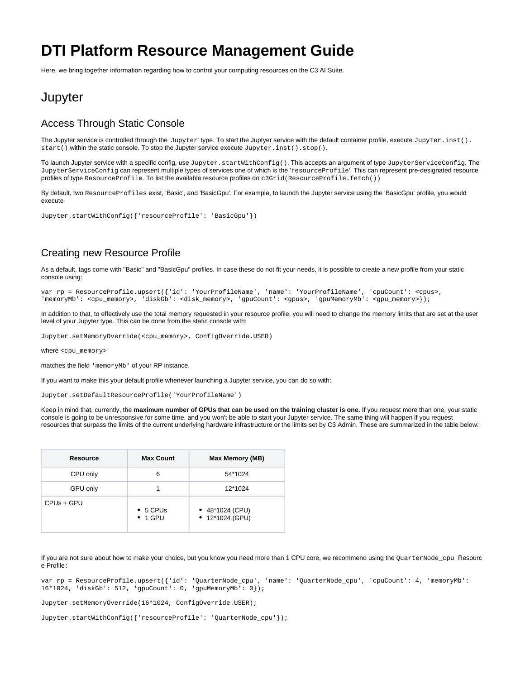# **DTI Platform Resource Management Guide**

Here, we bring together information regarding how to control your computing resources on the C3 AI Suite.

## **Jupyter**

#### Access Through Static Console

The Jupyter service is controlled through the 'Jupyter' type. To start the Juptyer service with the default container profile, execute Jupyter.inst(). start() within the static console. To stop the Jupyter service execute Jupyter.inst().stop().

To launch Jupyter service with a specific config, use Jupyter.startWithConfig(). This accepts an argument of type JupyterServiceConfig. The JupyterServiceConfig can represent multiple types of services one of which is the 'resourceProfile'. This can represent pre-designated resource profiles of type ResourceProfile. To list the available resource profiles do c3Grid(ResourceProfile.fetch())

By default, two ResourceProfiles exist, 'Basic', and 'BasicGpu'. For example, to launch the Jupyter service using the 'BasicGpu' profile, you would execute

Jupyter.startWithConfig({'resourceProfile': 'BasicGpu'})

#### Creating new Resource Profile

As a default, tags come with "Basic" and "BasicGpu" profiles. In case these do not fit your needs, it is possible to create a new profile from your static console using:

```
var rp = ResourceProfile.upsert({'id': 'YourProfileName', 'name': 'YourProfileName', 'cpuCount': <cpus>, 
'memoryMb': <cpu_memory>, 'diskGb': <disk_memory>, 'gpuCount': <gpus>, 'gpuMemoryMb': <gpu_memory>});
```
In addition to that, to effectively use the total memory requested in your resource profile, you will need to change the memory limits that are set at the user level of your Jupyter type. This can be done from the static console with:

Jupyter.setMemoryOverride(<cpu\_memory>, ConfigOverride.USER)

where <cpu\_memory>

matches the field 'memoryMb' of your RP instance.

If you want to make this your default profile whenever launching a Jupyter service, you can do so with:

Jupyter.setDefaultResourceProfile('YourProfileName')

Keep in mind that, currently, the **maximum number of GPUs that can be used on the training cluster is one.** If you request more than one, your static console is going to be unresponsive for some time, and you won't be able to start your Jupyter service. The same thing will happen if you request resources that surpass the limits of the current underlying hardware infrastructure or the limits set by C3 Admin. These are summarized in the table below:

| <b>Resource</b> | <b>Max Count</b>                    | <b>Max Memory (MB)</b>               |
|-----------------|-------------------------------------|--------------------------------------|
| CPU only        | 6                                   | 54*1024                              |
| GPU only        |                                     | 12*1024                              |
| CPUs + GPU      | $\bullet$ 5 CPUs<br>$\bullet$ 1 GPU | • $48*1024$ (CPU)<br>• 12*1024 (GPU) |

If you are not sure about how to make your choice, but you know you need more than 1 CPU core, we recommend using the OuarterNode cpu Resourc e Profile:

var rp = ResourceProfile.upsert({'id': 'QuarterNode\_cpu', 'name': 'QuarterNode\_cpu', 'cpuCount': 4, 'memoryMb': 16\*1024, 'diskGb': 512, 'gpuCount': 0, 'gpuMemoryMb': 0});

Jupyter.setMemoryOverride(16\*1024, ConfigOverride.USER);

```
Jupyter.startWithConfig({'resourceProfile': 'QuarterNode_cpu'});
```